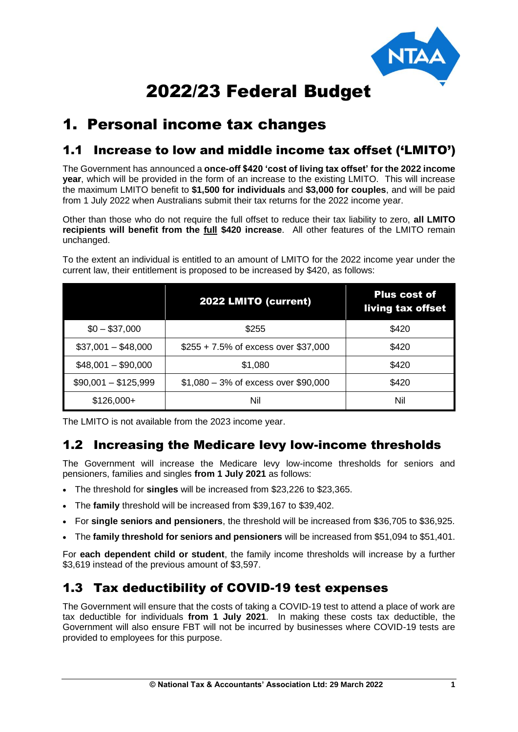

# 2022/23 Federal Budget

# 1. Personal income tax changes

# 1.1 Increase to low and middle income tax offset ('LMITO')

The Government has announced a **once-off \$420 'cost of living tax offset' for the 2022 income year**, which will be provided in the form of an increase to the existing LMITO. This will increase the maximum LMITO benefit to **\$1,500 for individuals** and **\$3,000 for couples**, and will be paid from 1 July 2022 when Australians submit their tax returns for the 2022 income year.

Other than those who do not require the full offset to reduce their tax liability to zero, **all LMITO recipients will benefit from the full \$420 increase**. All other features of the LMITO remain unchanged.

|                      | 2022 LMITO (current)                   | <b>Plus cost of</b><br>living tax offset |
|----------------------|----------------------------------------|------------------------------------------|
| $$0 - $37,000$       | \$255                                  | \$420                                    |
| $$37,001 - $48,000$  | \$255 + 7.5% of excess over \$37,000   | \$420                                    |
| $$48,001 - $90,000$  | \$1,080                                | \$420                                    |
| $$90,001 - $125,999$ | $$1,080 - 3\%$ of excess over \$90,000 | \$420                                    |
| $$126,000+$          | Nil                                    | Nil                                      |

To the extent an individual is entitled to an amount of LMITO for the 2022 income year under the current law, their entitlement is proposed to be increased by \$420, as follows:

The LMITO is not available from the 2023 income year.

#### 1.2 Increasing the Medicare levy low-income thresholds

The Government will increase the Medicare levy low-income thresholds for seniors and pensioners, families and singles **from 1 July 2021** as follows:

- The threshold for **singles** will be increased from \$23,226 to \$23,365.
- The **family** threshold will be increased from \$39,167 to \$39,402.
- For **single seniors and pensioners**, the threshold will be increased from \$36,705 to \$36,925.
- The **family threshold for seniors and pensioners** will be increased from \$51,094 to \$51,401.

For **each dependent child or student**, the family income thresholds will increase by a further \$3,619 instead of the previous amount of \$3,597.

#### 1.3 Tax deductibility of COVID-19 test expenses

The Government will ensure that the costs of taking a COVID-19 test to attend a place of work are tax deductible for individuals **from 1 July 2021**. In making these costs tax deductible, the Government will also ensure FBT will not be incurred by businesses where COVID-19 tests are provided to employees for this purpose.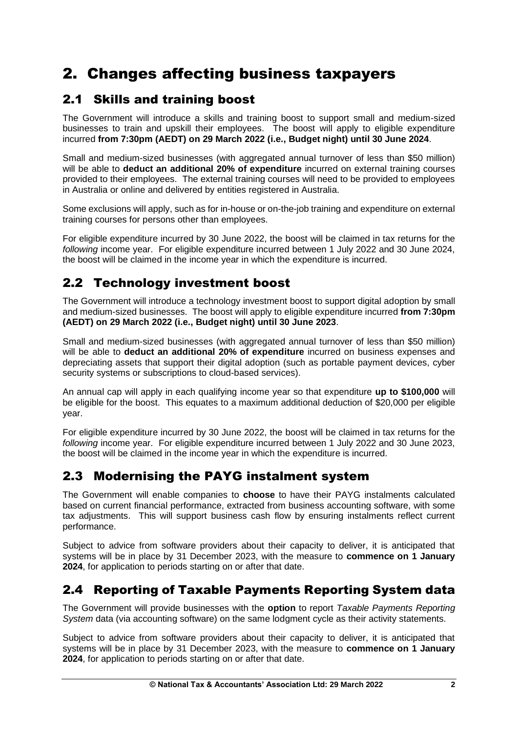# 2. Changes affecting business taxpayers

# 2.1 Skills and training boost

The Government will introduce a skills and training boost to support small and medium-sized businesses to train and upskill their employees. The boost will apply to eligible expenditure incurred **from 7:30pm (AEDT) on 29 March 2022 (i.e., Budget night) until 30 June 2024**.

Small and medium-sized businesses (with aggregated annual turnover of less than \$50 million) will be able to **deduct an additional 20% of expenditure** incurred on external training courses provided to their employees. The external training courses will need to be provided to employees in Australia or online and delivered by entities registered in Australia.

Some exclusions will apply, such as for in-house or on-the-job training and expenditure on external training courses for persons other than employees.

For eligible expenditure incurred by 30 June 2022, the boost will be claimed in tax returns for the *following* income year. For eligible expenditure incurred between 1 July 2022 and 30 June 2024, the boost will be claimed in the income year in which the expenditure is incurred.

# 2.2 Technology investment boost

The Government will introduce a technology investment boost to support digital adoption by small and medium-sized businesses. The boost will apply to eligible expenditure incurred **from 7:30pm (AEDT) on 29 March 2022 (i.e., Budget night) until 30 June 2023**.

Small and medium-sized businesses (with aggregated annual turnover of less than \$50 million) will be able to **deduct an additional 20% of expenditure** incurred on business expenses and depreciating assets that support their digital adoption (such as portable payment devices, cyber security systems or subscriptions to cloud-based services).

An annual cap will apply in each qualifying income year so that expenditure **up to \$100,000** will be eligible for the boost. This equates to a maximum additional deduction of \$20,000 per eligible year.

For eligible expenditure incurred by 30 June 2022, the boost will be claimed in tax returns for the *following* income year. For eligible expenditure incurred between 1 July 2022 and 30 June 2023, the boost will be claimed in the income year in which the expenditure is incurred.

# 2.3 Modernising the PAYG instalment system

The Government will enable companies to **choose** to have their PAYG instalments calculated based on current financial performance, extracted from business accounting software, with some tax adjustments. This will support business cash flow by ensuring instalments reflect current performance.

Subject to advice from software providers about their capacity to deliver, it is anticipated that systems will be in place by 31 December 2023, with the measure to **commence on 1 January 2024**, for application to periods starting on or after that date.

# 2.4 Reporting of Taxable Payments Reporting System data

The Government will provide businesses with the **option** to report *Taxable Payments Reporting System* data (via accounting software) on the same lodgment cycle as their activity statements.

Subject to advice from software providers about their capacity to deliver, it is anticipated that systems will be in place by 31 December 2023, with the measure to **commence on 1 January 2024**, for application to periods starting on or after that date.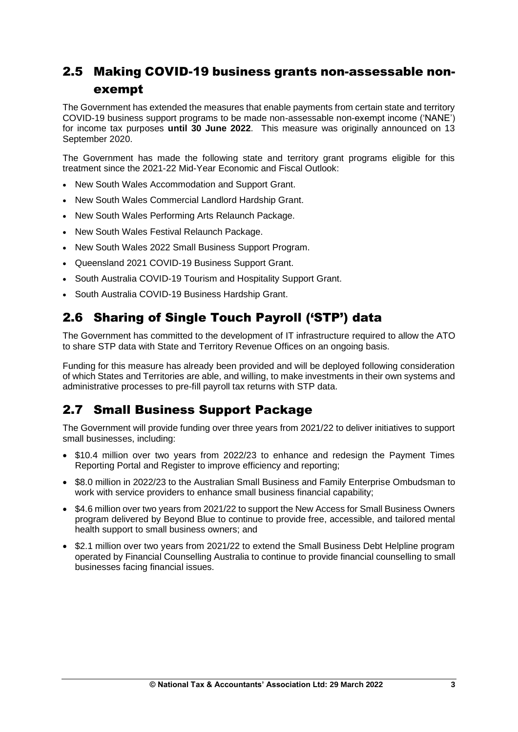# 2.5 Making COVID-19 business grants non-assessable nonexempt

The Government has extended the measures that enable payments from certain state and territory COVID-19 business support programs to be made non-assessable non-exempt income ('NANE') for income tax purposes **until 30 June 2022**. This measure was originally announced on 13 September 2020.

The Government has made the following state and territory grant programs eligible for this treatment since the 2021-22 Mid-Year Economic and Fiscal Outlook:

- New South Wales Accommodation and Support Grant.
- New South Wales Commercial Landlord Hardship Grant.
- New South Wales Performing Arts Relaunch Package.
- New South Wales Festival Relaunch Package.
- New South Wales 2022 Small Business Support Program.
- Queensland 2021 COVID-19 Business Support Grant.
- South Australia COVID-19 Tourism and Hospitality Support Grant.
- South Australia COVID-19 Business Hardship Grant.

# 2.6 Sharing of Single Touch Payroll ('STP') data

The Government has committed to the development of IT infrastructure required to allow the ATO to share STP data with State and Territory Revenue Offices on an ongoing basis.

Funding for this measure has already been provided and will be deployed following consideration of which States and Territories are able, and willing, to make investments in their own systems and administrative processes to pre-fill payroll tax returns with STP data.

# 2.7 Small Business Support Package

The Government will provide funding over three years from 2021/22 to deliver initiatives to support small businesses, including:

- \$10.4 million over two years from 2022/23 to enhance and redesign the Payment Times Reporting Portal and Register to improve efficiency and reporting;
- \$8.0 million in 2022/23 to the Australian Small Business and Family Enterprise Ombudsman to work with service providers to enhance small business financial capability;
- \$4.6 million over two years from 2021/22 to support the New Access for Small Business Owners program delivered by Beyond Blue to continue to provide free, accessible, and tailored mental health support to small business owners; and
- \$2.1 million over two years from 2021/22 to extend the Small Business Debt Helpline program operated by Financial Counselling Australia to continue to provide financial counselling to small businesses facing financial issues.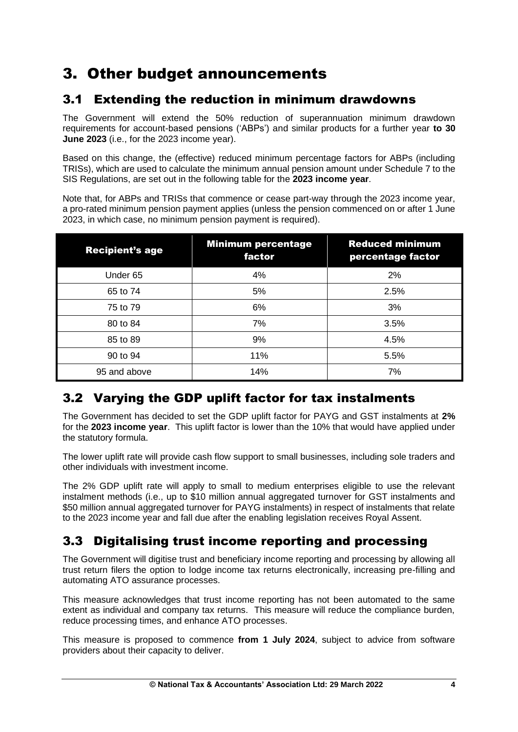# 3. Other budget announcements

# 3.1 Extending the reduction in minimum drawdowns

The Government will extend the 50% reduction of superannuation minimum drawdown requirements for account-based pensions ('ABPs') and similar products for a further year **to 30 June 2023** (i.e., for the 2023 income year).

Based on this change, the (effective) reduced minimum percentage factors for ABPs (including TRISs), which are used to calculate the minimum annual pension amount under Schedule 7 to the SIS Regulations, are set out in the following table for the **2023 income year**.

Note that, for ABPs and TRISs that commence or cease part-way through the 2023 income year, a pro-rated minimum pension payment applies (unless the pension commenced on or after 1 June 2023, in which case, no minimum pension payment is required).

| <b>Recipient's age</b> | <b>Minimum percentage</b><br>factor | <b>Reduced minimum</b><br>percentage factor |
|------------------------|-------------------------------------|---------------------------------------------|
| Under 65               | 4%                                  | 2%                                          |
| 65 to 74               | 5%                                  | 2.5%                                        |
| 75 to 79               | 6%                                  | 3%                                          |
| 80 to 84               | 7%                                  | 3.5%                                        |
| 85 to 89               | 9%                                  | 4.5%                                        |
| 90 to 94               | 11%                                 | 5.5%                                        |
| 95 and above           | 14%                                 | 7%                                          |

# 3.2 Varying the GDP uplift factor for tax instalments

The Government has decided to set the GDP uplift factor for PAYG and GST instalments at **2%** for the **2023 income year**. This uplift factor is lower than the 10% that would have applied under the statutory formula.

The lower uplift rate will provide cash flow support to small businesses, including sole traders and other individuals with investment income.

The 2% GDP uplift rate will apply to small to medium enterprises eligible to use the relevant instalment methods (i.e., up to \$10 million annual aggregated turnover for GST instalments and \$50 million annual aggregated turnover for PAYG instalments) in respect of instalments that relate to the 2023 income year and fall due after the enabling legislation receives Royal Assent.

# 3.3 Digitalising trust income reporting and processing

The Government will digitise trust and beneficiary income reporting and processing by allowing all trust return filers the option to lodge income tax returns electronically, increasing pre-filling and automating ATO assurance processes.

This measure acknowledges that trust income reporting has not been automated to the same extent as individual and company tax returns. This measure will reduce the compliance burden, reduce processing times, and enhance ATO processes.

This measure is proposed to commence **from 1 July 2024**, subject to advice from software providers about their capacity to deliver.